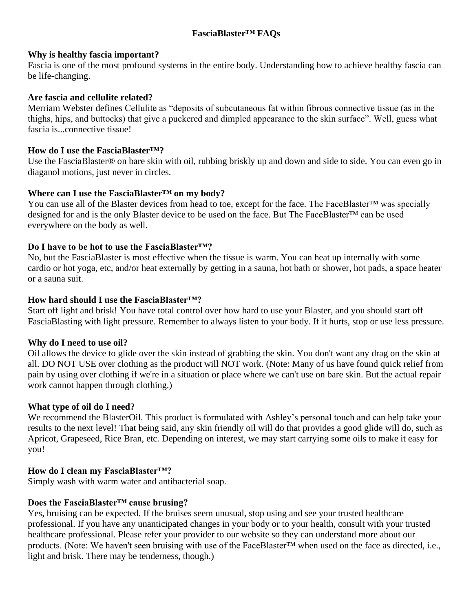## **FasciaBlaster™ FAQs**

#### **Why is healthy fascia important?**

Fascia is one of the most profound systems in the entire body. Understanding how to achieve healthy fascia can be life-changing.

# **Are fascia and cellulite related?**

Merriam Webster defines Cellulite as "deposits of subcutaneous fat within fibrous connective tissue (as in the thighs, hips, and buttocks) that give a puckered and dimpled appearance to the skin surface". Well, guess what fascia is...connective tissue!

#### **How do I use the FasciaBlaster™?**

Use the FasciaBlaster® on bare skin with oil, rubbing briskly up and down and side to side. You can even go in diaganol motions, just never in circles.

### **Where can I use the FasciaBlaster™ on my body?**

You can use all of the Blaster devices from head to toe, except for the face. The FaceBlaster™ was specially designed for and is the only Blaster device to be used on the face. But The FaceBlaster™ can be used everywhere on the body as well.

### **Do I have to be hot to use the FasciaBlaster™?**

No, but the FasciaBlaster is most effective when the tissue is warm. You can heat up internally with some cardio or hot yoga, etc, and/or heat externally by getting in a sauna, hot bath or shower, hot pads, a space heater or a sauna suit.

### **How hard should I use the FasciaBlaster™?**

Start off light and brisk! You have total control over how hard to use your Blaster, and you should start off FasciaBlasting with light pressure. Remember to always listen to your body. If it hurts, stop or use less pressure.

### **Why do I need to use oil?**

Oil allows the device to glide over the skin instead of grabbing the skin. You don't want any drag on the skin at all. DO NOT USE over clothing as the product will NOT work. (Note: Many of us have found quick relief from pain by using over clothing if we're in a situation or place where we can't use on bare skin. But the actual repair work cannot happen through clothing.)

### **What type of oil do I need?**

We recommend the BlasterOil. This product is formulated with Ashley's personal touch and can help take your results to the next level! That being said, any skin friendly oil will do that provides a good glide will do, such as Apricot, Grapeseed, Rice Bran, etc. Depending on interest, we may start carrying some oils to make it easy for you!

### **How do I clean my FasciaBlaster™?**

Simply wash with warm water and antibacterial soap.

### **Does the FasciaBlaster™ cause brusing?**

Yes, bruising can be expected. If the bruises seem unusual, stop using and see your trusted healthcare professional. If you have any unanticipated changes in your body or to your health, consult with your trusted healthcare professional. Please refer your provider to our website so they can understand more about our products. (Note: We haven't seen bruising with use of the FaceBlaster™ when used on the face as directed, i.e., light and brisk. There may be tenderness, though.)